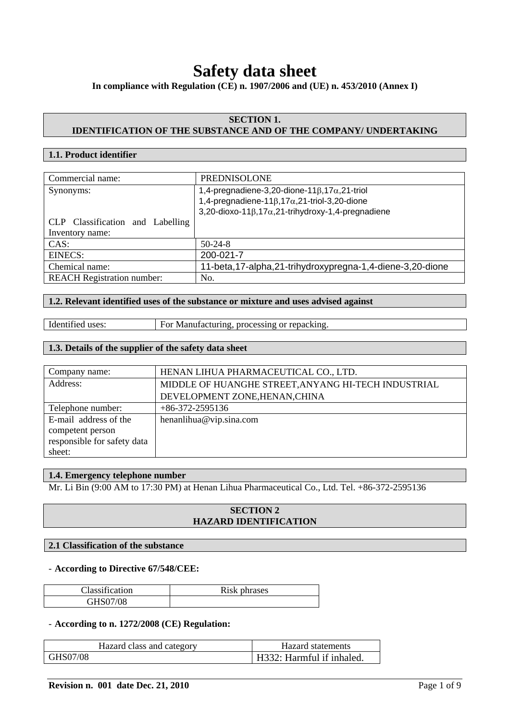# **Safety data sheet**

**In compliance with Regulation (CE) n. 1907/2006 and (UE) n. 453/2010 (Annex I)** 

# **SECTION 1. IDENTIFICATION OF THE SUBSTANCE AND OF THE COMPANY/ UNDERTAKING**

# **1.1. Product identifier**

| Commercial name:                  | <b>PREDNISOLONE</b>                                               |
|-----------------------------------|-------------------------------------------------------------------|
|                                   |                                                                   |
| Synonyms:                         | 1,4-pregnadiene-3,20-dione-11 $\beta$ ,17 $\alpha$ ,21-triol      |
|                                   |                                                                   |
|                                   | 1,4-pregnadiene-11 $\beta$ ,17 $\alpha$ ,21-triol-3,20-dione      |
|                                   | 3,20-dioxo-11 $\beta$ ,17 $\alpha$ ,21-trihydroxy-1,4-pregnadiene |
|                                   |                                                                   |
| CLP Classification and Labelling  |                                                                   |
| Inventory name:                   |                                                                   |
| CAS:                              | $50-24-8$                                                         |
|                                   |                                                                   |
| <b>EINECS:</b>                    | 200-021-7                                                         |
| Chemical name:                    | 11-beta, 17-alpha, 21-trihydroxypregna-1, 4-diene-3, 20-dione     |
|                                   |                                                                   |
| <b>REACH Registration number:</b> | No.                                                               |
|                                   |                                                                   |

#### **1.2. Relevant identified uses of the substance or mixture and uses advised against**

|  | Identified uses: |
|--|------------------|
|  |                  |

For Manufacturing, processing or repacking.

## **1.3. Details of the supplier of the safety data sheet**

| Company name:               | HENAN LIHUA PHARMACEUTICAL CO., LTD.                |
|-----------------------------|-----------------------------------------------------|
| Address:                    | MIDDLE OF HUANGHE STREET, ANYANG HI-TECH INDUSTRIAL |
|                             | DEVELOPMENT ZONE, HENAN, CHINA                      |
| Telephone number:           | $+86-372-2595136$                                   |
| E-mail address of the       | henanlihua@vip.sina.com                             |
| competent person            |                                                     |
| responsible for safety data |                                                     |
| sheet:                      |                                                     |

# **1.4. Emergency telephone number**

Mr. Li Bin (9:00 AM to 17:30 PM) at Henan Lihua Pharmaceutical Co., Ltd. Tel. +86-372-2595136

# **SECTION 2 HAZARD IDENTIFICATION**

## **2.1 Classification of the substance**

## - **According to Directive 67/548/CEE:**

| Classification | Risk phrases |
|----------------|--------------|
| GHS07/08       |              |

#### - **According to n. 1272/2008 (CE) Regulation:**

| Hazard class and category | Hazard statements         |
|---------------------------|---------------------------|
| GHS07/08                  | H332: Harmful if inhaled. |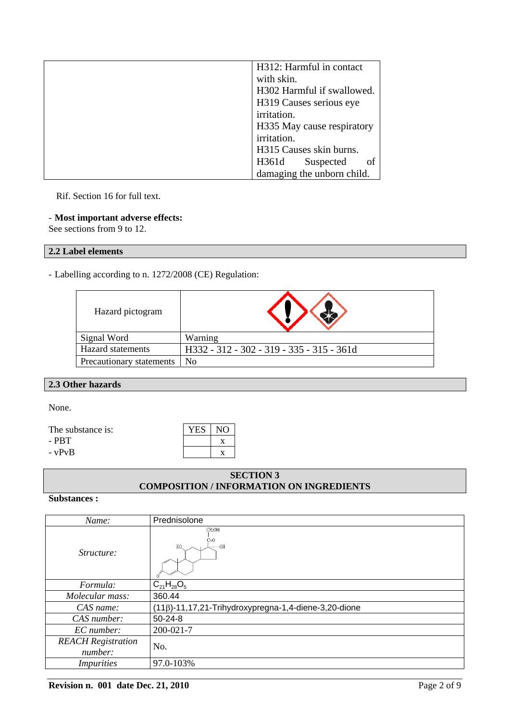| H312: Harmful in contact   |
|----------------------------|
| with skin.                 |
| H302 Harmful if swallowed. |
| H319 Causes serious eye    |
| irritation.                |
| H335 May cause respiratory |
| irritation.                |
| H315 Causes skin burns.    |
| οf<br>H361d<br>Suspected   |
| damaging the unborn child. |

Rif. Section 16 for full text.

# - **Most important adverse effects:**

See sections from 9 to 12.

# **2.2 Label elements**

- Labelling according to n. 1272/2008 (CE) Regulation:

| Hazard pictogram         |                                           |
|--------------------------|-------------------------------------------|
| Signal Word              | Warning                                   |
| <b>Hazard</b> statements | H332 - 312 - 302 - 319 - 335 - 315 - 361d |
| Precautionary statements | No                                        |

# **2.3 Other hazards**

None.

The substance is:  $YES | NO$ 

 $-PBT$  x

 $- vPvB$  x

# **SECTION 3 COMPOSITION / INFORMATION ON INGREDIENTS**

#### **Substances :**

| Name:                                | Prednisolone                                                |
|--------------------------------------|-------------------------------------------------------------|
| <i>Structure:</i>                    | CH <sub>2</sub> OH<br>C≡O<br>$H0$<br>HO.                    |
| Formula:                             | $C_{21}H_{28}O_5$                                           |
| Molecular mass:                      | 360.44                                                      |
| CAS name:                            | $(11\beta)$ -11,17,21-Trihydroxypregna-1,4-diene-3,20-dione |
| CAS number:                          | $50 - 24 - 8$                                               |
| EC number:                           | $200 - 021 - 7$                                             |
| <b>REACH</b> Registration<br>number: | No.                                                         |
| <i>Impurities</i>                    | 97.0-103%                                                   |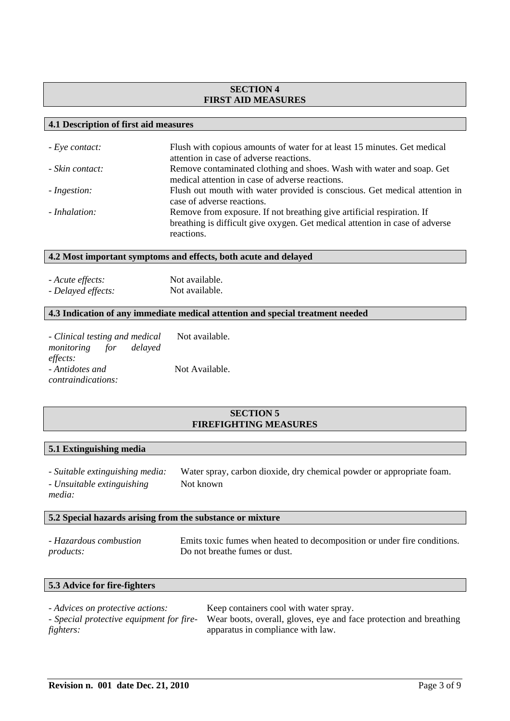# **SECTION 4 FIRST AID MEASURES**

### **4.1 Description of first aid measures**

| - Eye contact:  | Flush with copious amounts of water for at least 15 minutes. Get medical<br>attention in case of adverse reactions.                                                  |
|-----------------|----------------------------------------------------------------------------------------------------------------------------------------------------------------------|
| - Skin contact: | Remove contaminated clothing and shoes. Wash with water and soap. Get<br>medical attention in case of adverse reactions.                                             |
| - Ingestion:    | Flush out mouth with water provided is conscious. Get medical attention in<br>case of adverse reactions.                                                             |
| - Inhalation:   | Remove from exposure. If not breathing give artificial respiration. If<br>breathing is difficult give oxygen. Get medical attention in case of adverse<br>reactions. |

### **4.2 Most important symptoms and effects, both acute and delayed**

*- Acute effects:* Not available. *- Delayed effects:* Not available.

# **4.3 Indication of any immediate medical attention and special treatment needed**

| - Clinical testing and medical       | Not available. |
|--------------------------------------|----------------|
| <i>monitoring</i> for <i>delayed</i> |                |
| effects:                             |                |
| - Antidotes and                      | Not Available. |
| <i>contraindications:</i>            |                |

# **SECTION 5 FIREFIGHTING MEASURES**

# **5.1 Extinguishing media**

| - Suitable extinguishing media: | Water spray, carbon dioxide, dry chemical powder or appropriate foam. |
|---------------------------------|-----------------------------------------------------------------------|
| - Unsuitable extinguishing      | Not known                                                             |
| media:                          |                                                                       |

## **5.2 Special hazards arising from the substance or mixture**

| - Hazardous combustion | Emits toxic fumes when heated to decomposition or under fire conditions. |
|------------------------|--------------------------------------------------------------------------|
| <i>products:</i>       | Do not breathe fumes or dust.                                            |

# **5.3 Advice for fire-fighters**

| - Advices on protective actions: | Keep containers cool with water spray.                                                                      |
|----------------------------------|-------------------------------------------------------------------------------------------------------------|
|                                  | - Special protective equipment for fire- Wear boots, overall, gloves, eye and face protection and breathing |
| fighters:                        | apparatus in compliance with law.                                                                           |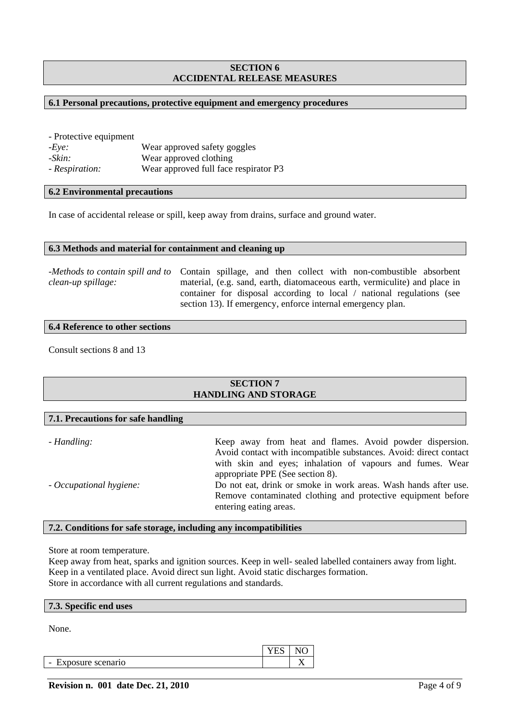# **SECTION 6 ACCIDENTAL RELEASE MEASURES**

#### **6.1 Personal precautions, protective equipment and emergency procedures**

| - Protective equipment |                                       |
|------------------------|---------------------------------------|
| $-Eve:$                | Wear approved safety goggles          |
| -Skin:                 | Wear approved clothing                |
| - Respiration:         | Wear approved full face respirator P3 |

#### **6.2 Environmental precautions**

In case of accidental release or spill, keep away from drains, surface and ground water.

#### **6.3 Methods and material for containment and cleaning up**

*-Methods to contain spill and to*  Contain spillage, and then collect with non-combustible absorbent *clean-up spillage:*  material, (e.g. sand, earth, diatomaceous earth, vermiculite) and place in container for disposal according to local / national regulations (see section 13). If emergency, enforce internal emergency plan.

#### **6.4 Reference to other sections**

**7.1. Precautions for safe handling** 

Consult sections 8 and 13

## **SECTION 7 HANDLING AND STORAGE**

| - Handling:             | Keep away from heat and flames. Avoid powder dispersion.<br>Avoid contact with incompatible substances. Avoid: direct contact   |
|-------------------------|---------------------------------------------------------------------------------------------------------------------------------|
|                         | with skin and eyes; inhalation of vapours and fumes. Wear<br>appropriate PPE (See section 8).                                   |
| - Occupational hygiene: | Do not eat, drink or smoke in work areas. Wash hands after use.<br>Remove contaminated clothing and protective equipment before |
|                         | entering eating areas.                                                                                                          |

## **7.2. Conditions for safe storage, including any incompatibilities**

Store at room temperature.

Keep away from heat, sparks and ignition sources. Keep in well- sealed labelled containers away from light. Keep in a ventilated place. Avoid direct sun light. Avoid static discharges formation. Store in accordance with all current regulations and standards.

#### **7.3. Specific end uses**

None.

|                                               | <u>_</u> |  |
|-----------------------------------------------|----------|--|
| Exposure scenario<br>$\overline{\phantom{0}}$ |          |  |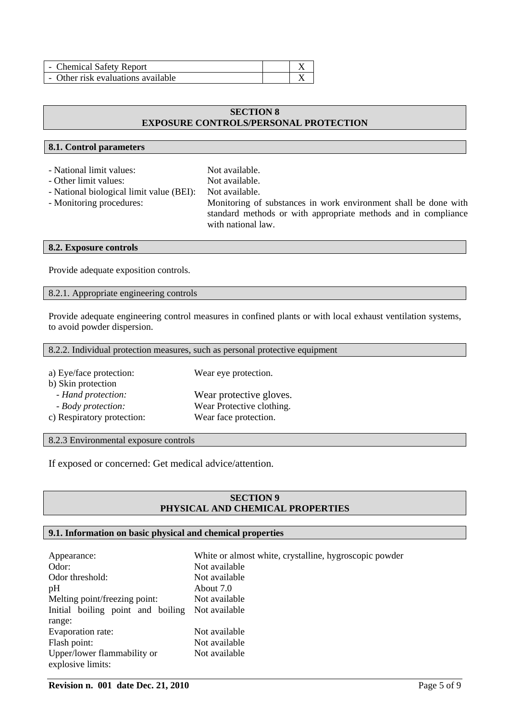| - Chemical Safety Report           |  |
|------------------------------------|--|
| - Other risk evaluations available |  |

## **SECTION 8 EXPOSURE CONTROLS/PERSONAL PROTECTION**

## **8.1. Control parameters**

- National limit values: Not available.
- Other limit values: Not available.

- National biological limit value (BEI): Not available.
- 

- Monitoring procedures: Monitoring of substances in work environment shall be done with standard methods or with appropriate methods and in compliance with national law.

# **8.2. Exposure controls**

Provide adequate exposition controls.

8.2.1. Appropriate engineering controls

Provide adequate engineering control measures in confined plants or with local exhaust ventilation systems, to avoid powder dispersion.

8.2.2. Individual protection measures, such as personal protective equipment

| a) Eye/face protection:    | Wear eye protection.      |
|----------------------------|---------------------------|
| b) Skin protection         |                           |
| - Hand protection:         | Wear protective gloves.   |
| - Body protection:         | Wear Protective clothing. |
| c) Respiratory protection: | Wear face protection.     |

8.2.3 Environmental exposure controls

If exposed or concerned: Get medical advice/attention.

# **SECTION 9 PHYSICAL AND CHEMICAL PROPERTIES**

# **9.1. Information on basic physical and chemical properties**

| Appearance:                       | White or almost white, crystalline, hygroscopic powder |
|-----------------------------------|--------------------------------------------------------|
| Odor:                             | Not available                                          |
| Odor threshold:                   | Not available                                          |
| pH                                | About 7.0                                              |
| Melting point/freezing point:     | Not available                                          |
| Initial boiling point and boiling | Not available                                          |
| range:                            |                                                        |
| Evaporation rate:                 | Not available                                          |
| Flash point:                      | Not available                                          |
| Upper/lower flammability or       | Not available                                          |
| explosive limits:                 |                                                        |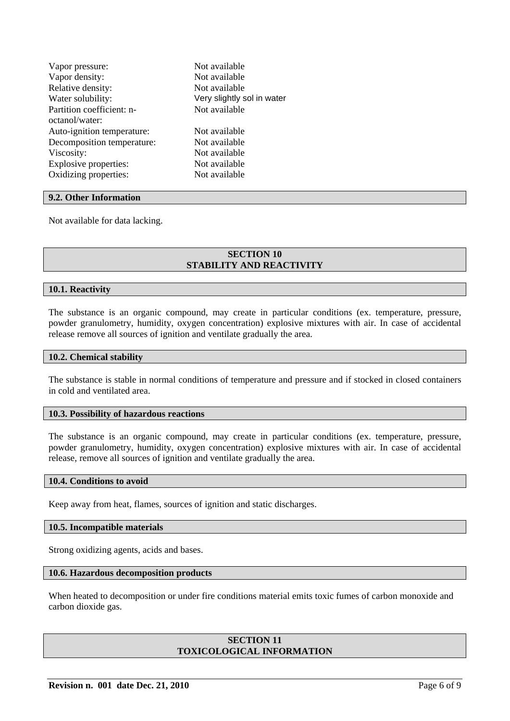| Vapor pressure:            | Not available              |
|----------------------------|----------------------------|
| Vapor density:             | Not available              |
| Relative density:          | Not available              |
| Water solubility:          | Very slightly sol in water |
| Partition coefficient: n-  | Not available              |
| octanol/water:             |                            |
| Auto-ignition temperature: | Not available              |
| Decomposition temperature: | Not available              |
| Viscosity:                 | Not available              |
| Explosive properties:      | Not available              |
| Oxidizing properties:      | Not available              |
|                            |                            |

#### **9.2. Other Information**

Not available for data lacking.

#### **SECTION 10 STABILITY AND REACTIVITY**

## **10.1. Reactivity**

The substance is an organic compound, may create in particular conditions (ex. temperature, pressure, powder granulometry, humidity, oxygen concentration) explosive mixtures with air. In case of accidental release remove all sources of ignition and ventilate gradually the area.

#### **10.2. Chemical stability**

The substance is stable in normal conditions of temperature and pressure and if stocked in closed containers in cold and ventilated area.

#### **10.3. Possibility of hazardous reactions**

The substance is an organic compound, may create in particular conditions (ex. temperature, pressure, powder granulometry, humidity, oxygen concentration) explosive mixtures with air. In case of accidental release, remove all sources of ignition and ventilate gradually the area.

#### **10.4. Conditions to avoid**

Keep away from heat, flames, sources of ignition and static discharges.

#### **10.5. Incompatible materials**

Strong oxidizing agents, acids and bases.

## **10.6. Hazardous decomposition products**

When heated to decomposition or under fire conditions material emits toxic fumes of carbon monoxide and carbon dioxide gas.

# **SECTION 11 TOXICOLOGICAL INFORMATION**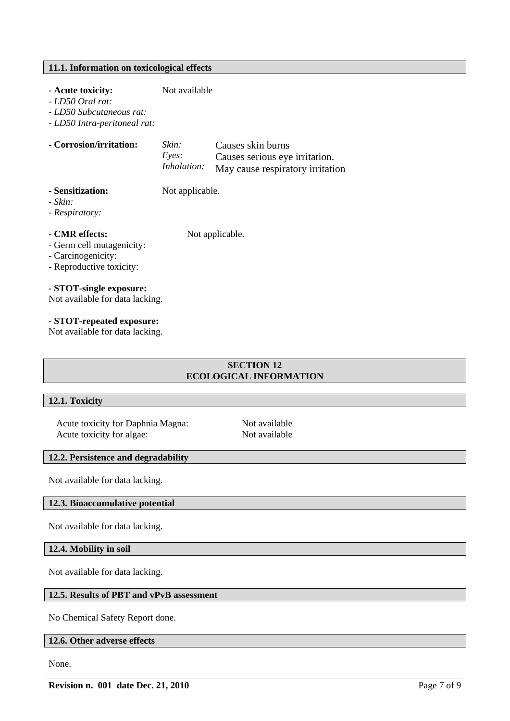# **11.1. Information on toxicological effects**

## **- Acute toxicity:** Not available

*- LD50 Oral rat:* 

*- LD50 Subcutaneous rat:* 

*- LD50 Intra-peritoneal rat:*

| - Corrosion/irritation: | Skin:              | Causes skin burns                |
|-------------------------|--------------------|----------------------------------|
|                         | Eves:              | Causes serious eye irritation.   |
|                         | <i>Inhalation:</i> | May cause respiratory irritation |

- **Sensitization:** Not applicable.
- *Skin:*

*- Respiratory:* 

**- CMR effects:** Not applicable.

- Germ cell mutagenicity:
- Carcinogenicity:
- Reproductive toxicity:

# **- STOT-single exposure:**

Not available for data lacking.

#### **- STOT-repeated exposure:**

Not available for data lacking.

# **SECTION 12 ECOLOGICAL INFORMATION**

#### **12.1. Toxicity**

Acute toxicity for Daphnia Magna: Not available Acute toxicity for algae: Not available

# **12.2. Persistence and degradability**

Not available for data lacking.

# **12.3. Bioaccumulative potential**

Not available for data lacking.

# **12.4. Mobility in soil**

Not available for data lacking.

# **12.5. Results of PBT and vPvB assessment**

No Chemical Safety Report done.

#### **12.6. Other adverse effects**

None.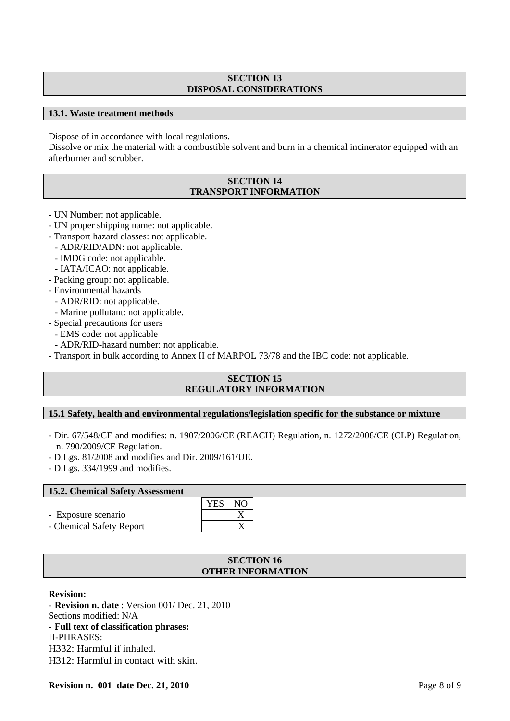# **SECTION 13 DISPOSAL CONSIDERATIONS**

# **13.1. Waste treatment methods**

Dispose of in accordance with local regulations.

Dissolve or mix the material with a combustible solvent and burn in a chemical incinerator equipped with an afterburner and scrubber.

## **SECTION 14 TRANSPORT INFORMATION**

- UN Number: not applicable.
- UN proper shipping name: not applicable.
- Transport hazard classes: not applicable.
	- ADR/RID/ADN: not applicable.
	- IMDG code: not applicable.
- IATA/ICAO: not applicable.
- Packing group: not applicable.
- Environmental hazards
	- ADR/RID: not applicable.
	- Marine pollutant: not applicable.
- Special precautions for users
	- EMS code: not applicable
- ADR/RID-hazard number: not applicable.
- Transport in bulk according to Annex II of MARPOL 73/78 and the IBC code: not applicable.

# **SECTION 15 REGULATORY INFORMATION**

# **15.1 Safety, health and environmental regulations/legislation specific for the substance or mixture**

- Dir. 67/548/CE and modifies: n. 1907/2006/CE (REACH) Regulation, n. 1272/2008/CE (CLP) Regulation, n. 790/2009/CE Regulation.
- D.Lgs. 81/2008 and modifies and Dir. 2009/161/UE.
- D.Lgs. 334/1999 and modifies.

# **15.2. Chemical Safety Assessment**

- Exposure scenario
- Chemical Safety Report

| <b>Tell</b> , Chemical Barety <i>Tropesphicht</i> |        |  |
|---------------------------------------------------|--------|--|
|                                                   | YES NO |  |
| - Exposure scenario                               |        |  |
| - Chemical Safety Report                          |        |  |

# **SECTION 16 OTHER INFORMATION**

# **Revision:**

- **Revision n. date** : Version 001/ Dec. 21, 2010 Sections modified: N/A - **Full text of classification phrases:**  H-PHRASES: H332: Harmful if inhaled. H312: Harmful in contact with skin.